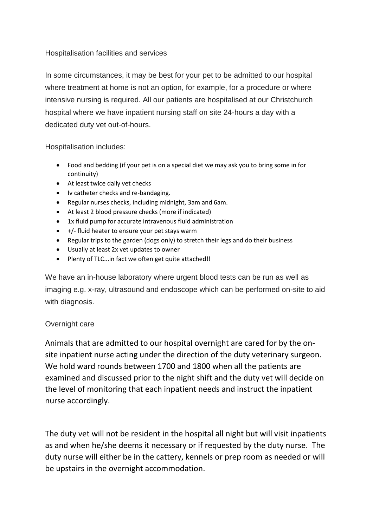## Hospitalisation facilities and services

In some circumstances, it may be best for your pet to be admitted to our hospital where treatment at home is not an option, for example, for a procedure or where intensive nursing is required. All our patients are hospitalised at our Christchurch hospital where we have inpatient nursing staff on site 24-hours a day with a dedicated duty vet out-of-hours.

Hospitalisation includes:

- Food and bedding (if your pet is on a special diet we may ask you to bring some in for continuity)
- At least twice daily vet checks
- Iv catheter checks and re-bandaging.
- Regular nurses checks, including midnight, 3am and 6am.
- At least 2 blood pressure checks (more if indicated)
- 1x fluid pump for accurate intravenous fluid administration
- $\bullet$  +/- fluid heater to ensure your pet stays warm
- Regular trips to the garden (dogs only) to stretch their legs and do their business
- Usually at least 2x vet updates to owner
- Plenty of TLC...in fact we often get quite attached!!

We have an in-house laboratory where urgent blood tests can be run as well as imaging e.g. x-ray, ultrasound and endoscope which can be performed on-site to aid with diagnosis.

## Overnight care

Animals that are admitted to our hospital overnight are cared for by the onsite inpatient nurse acting under the direction of the duty veterinary surgeon. We hold ward rounds between 1700 and 1800 when all the patients are examined and discussed prior to the night shift and the duty vet will decide on the level of monitoring that each inpatient needs and instruct the inpatient nurse accordingly.

The duty vet will not be resident in the hospital all night but will visit inpatients as and when he/she deems it necessary or if requested by the duty nurse. The duty nurse will either be in the cattery, kennels or prep room as needed or will be upstairs in the overnight accommodation.